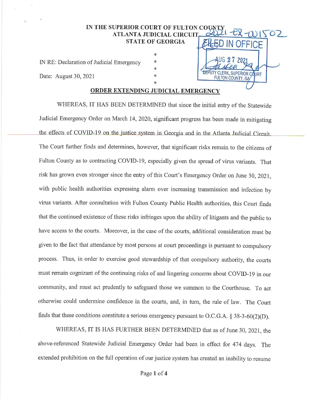## IN THE SUPERIOR COURT OF FULTON COUNTY<br>ATLANTA JUDICIAL CIRCUIT 2021 - ER - WIS COUNTY + FR-WISOZ STATE OF GEORGIA **BLED IN OFFICE** COUNTY PR-WIS<br>ELED IN OFFICE<br>AUG 27 2021

IN RE: Declaration of Judicial Emergency  $*$  |  $\bigcup_{n=1}^{\infty}$  202

Date: August 30, 2021 \* \* FILLTON COUNTY CAUSE TRANSPERIOR COURT

## \* ORDER EXTENDING JUDICIAL EMERGENCY

\*

\*

 $\overline{\phantom{a}}$ 

FULTON COUNTY, GA

WHEREAS, IT HAS BEEN DETERMINED that since the initial entry of the Statewide Judicial Emergency Order on March 14, 2020, significant progress has been made in mitigating the effects of COVID-19 on the justice system in Georgia and in the Atlanta Judicial Circuit. The Court further finds and determines, however, that significant risks remain to the citizens of Fulton County as to contracting COVID-19, especially given the spread of virus variants. That risk has grown even stronger since the entry of this Court's Emergency Order on June 30, 2021, with public health authorities expressing alarm over increasing transmission and infection by virus variants. After consultation with Fulton County Public Health authorities, this Court finds that the continued existence of these risks infringes upon the ability of litigants and the public to have access to the courts. Moreover, in the case of the courts, additional consideration must be given to the fact that attendance by most persons at court proceedings is pursuant to compulsory process. Thus, in order to exercise good stewardship of that compulsory authority, the courts must remain cognizant of the continuing risks of and lingering concerns about COVID-19 in our community, and must act prudently to safeguard those we summon to the Courthouse. To act otherwise could undermine confidence in the courts, and, in turn, the rule of law. The Court finds that these conditions constitute a serious emergency pursuant to O.C.G.A. § 38-3-60(2)(D).

WHEREAS, IT IS HAS FURTHER BEEN DETERMINED that as of June 30, 2021, the above-referenced Statewide Judicial Emergency Order had beenin effect for 474 days. The extended prohibition on the full operation of our justice system has created an inability to resume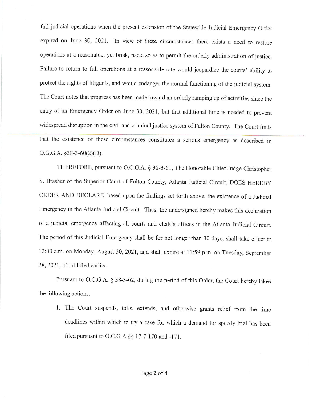full judicial operations when the present extension of the Statewide Judicial Emergency Order expired on June 30, 2021. In view of these circumstances there exists a need to restore operations at <sup>a</sup> reasonable, yet brisk, pace, so as to permit the orderly administration of justice. Failure to return to full operations at a reasonable rate would jeopardize the courts' ability to protect the rights of litigants, and would endanger the normal functioning of the judicial system. The Court notes that progress has been made toward an orderly ramping up of activities since the entry of its Emergency Order on June 30, 2021, but that additional time is needed to prevent full judicial operations when the present extension of the Statewide Judicial Emergency Order<br>expired on June 30, 2021. In view of these circumstances there exists a need to restore<br>operations at a reasonable, yet brisk, p widespread disruption in the civil and criminal justice system of Fulton County. The Court finds that the existence of these circumstances constitutes a serious emergency as described in 0.G.G.A. §38-3-60(2)(D).

> THEREFORE, pursuant to O.C.G.A. § 38-3-61, The Honorable Chief Judge Christopher S. Brasher of the Superior Court of Fulton County, Atlanta Judicial Circuit, DOES HEREBY ORDER AND DECLARE, based upon the findings set forth above, the existence of a Judicial Emergency in the Atlanta Judicial Circuit. Thus, the undersigned hereby makesthis declaration of a judicial emergency affecting all courts and clerk's offices in the Atlanta Judicial Circuit. The period of this Judicial Emergency shall be for not longer than 30 days, shall take effect at 12:00 a.m. on Monday, August 30, 2021, and shall expire at 11:59 p.m. on Tuesday, September 28, 2021, if not lifted earlier.

> Pursuant to O.C.G.A. § 38-3-62, during the period of this Order, the Court hereby takes the following actions:

1. The Court suspends, tolls, extends, and otherwise grants relief from the time deadlines within which to try a case for which a demand for speedy trial has been filed pursuant to O.C.G.A §§ 17-7-170 and -171.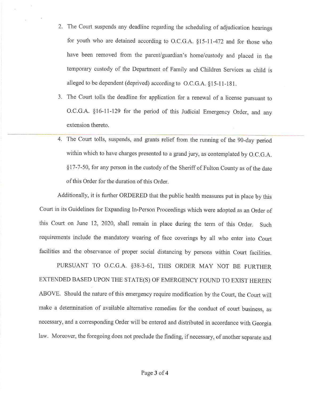- 2. The Court suspends any deadline regarding the scheduling of adjudication hearings for youth who are detained according to O.C.G.A. §15-11-472 and for those who have been removed from the parent/guardian's home/custody and placed in the temporary custody of the Department of Family and Children Services as child is alleged to be dependent (deprived) according to O.C.G.A. §15-11-181. s any deadline regarding the scheduling of adjudication hearings<br>detained according to O.C.G.A. §15-11-472 and for those who<br>d from the parent/guardian's home/custody and placed in the<br>of the Department of Family and Child
- 3. The Court tolls the deadline for application for a renewal of a license pursuant to O.C.G.A. §16-11-129 for the period of this Judicial Emergency Order, and any extension thereto.
- 4. The Court tolls, suspends, and grants relief from the running of the 90-day period within which to have charges presented to a grand jury, as contemplated by O.C.G.A. §17-7-50, for any person in the custody of the Sheriff of Fulton Countyas of the date of this Order for the duration of this Order.

Additionally, it is further ORDERED that the public health measures put in place by this Court in its Guidelines for Expanding In-Person Proceedings which were adopted as an Order of this Court on June 12, 2020, shall remain in place during the term of this Order, Such requirements include the mandatory wearing of face coverings by all who enter into Court facilities and the observance of proper social distancing by persons within Court facilities.

PURSUANT TO O.C.G.A. §38-3-61, THIS ORDER MAY NOT BE FURTHER EXTENDED BASED UPON THE STATE(S) OF EMERGENCY FOUND TO EXIST HEREIN ABOVE. Should the nature of this emergency require modification by the Court, the Court will make a determination of available alternative remedies for the conduct of court business, as necessary, and a corresponding Order will be entered and distributed in accordance with Georgia law. Moreover, the foregoing does not preclude the finding, if necessary, of another separate and